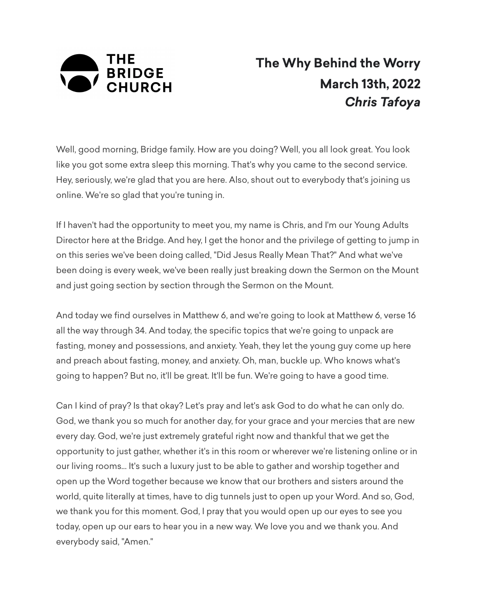

## **The Why Behind the Worry March 13th, 2022** *Chris Tafoya*

Well, good morning, Bridge family. How are you doing? Well, you all look great. You look like you got some extra sleep this morning. That's why you came to the second service. Hey, seriously, we're glad that you are here. Also, shout out to everybody that's joining us online. We're so glad that you're tuning in.

If I haven't had the opportunity to meet you, my name is Chris, and I'm our Young Adults Director here at the Bridge. And hey, I get the honor and the privilege of getting to jump in on this series we've been doing called, "Did Jesus Really Mean That?" And what we've been doing is every week, we've been really just breaking down the Sermon on the Mount and just going section by section through the Sermon on the Mount.

And today we find ourselves in Matthew 6, and we're going to look at Matthew 6, verse 16 all the way through 34. And today, the specific topics that we're going to unpack are fasting, money and possessions, and anxiety. Yeah, they let the young guy come up here and preach about fasting, money, and anxiety. Oh, man, buckle up. Who knows what's going to happen? But no, it'll be great. It'll be fun. We're going to have a good time.

Can I kind of pray? Is that okay? Let's pray and let's ask God to do what he can only do. God, we thank you so much for another day, for your grace and your mercies that are new every day. God, we're just extremely grateful right now and thankful that we get the opportunity to just gather, whether it's in this room or wherever we're listening online or in our living rooms... It's such a luxury just to be able to gather and worship together and open up the Word together because we know that our brothers and sisters around the world, quite literally at times, have to dig tunnels just to open up your Word. And so, God, we thank you for this moment. God, I pray that you would open up our eyes to see you today, open up our ears to hear you in a new way. We love you and we thank you. And everybody said, "Amen."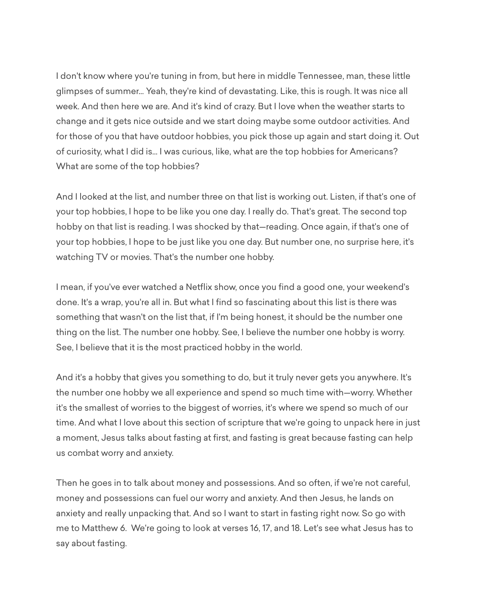I don't know where you're tuning in from, but here in middle Tennessee, man, these little glimpses of summer... Yeah, they're kind of devastating. Like, this is rough. It was nice all week. And then here we are. And it's kind of crazy. But I love when the weather starts to change and it gets nice outside and we start doing maybe some outdoor activities. And for those of you that have outdoor hobbies, you pick those up again and start doing it. Out of curiosity, what I did is... I was curious, like, what are the top hobbies for Americans? What are some of the top hobbies?

And I looked at the list, and number three on that list is working out. Listen, if that's one of your top hobbies, I hope to be like you one day. I really do. That's great. The second top hobby on that list is reading. I was shocked by that—reading. Once again, if that's one of your top hobbies, I hope to be just like you one day. But number one, no surprise here, it's watching TV or movies. That's the number one hobby.

I mean, if you've ever watched a Netflix show, once you find a good one, your weekend's done. It's a wrap, you're all in. But what I find so fascinating about this list is there was something that wasn't on the list that, if I'm being honest, it should be the number one thing on the list. The number one hobby. See, I believe the number one hobby is worry. See, I believe that it is the most practiced hobby in the world.

And it's a hobby that gives you something to do, but it truly never gets you anywhere. It's the number one hobby we all experience and spend so much time with—worry. Whether it's the smallest of worries to the biggest of worries, it's where we spend so much of our time. And what I love about this section of scripture that we're going to unpack here in just a moment, Jesus talks about fasting at first, and fasting is great because fasting can help us combat worry and anxiety.

Then he goes in to talk about money and possessions. And so often, if we're not careful, money and possessions can fuel our worry and anxiety. And then Jesus, he lands on anxiety and really unpacking that. And so I want to start in fasting right now. So go with me to Matthew 6. We're going to look at verses 16, 17, and 18. Let's see what Jesus has to say about fasting.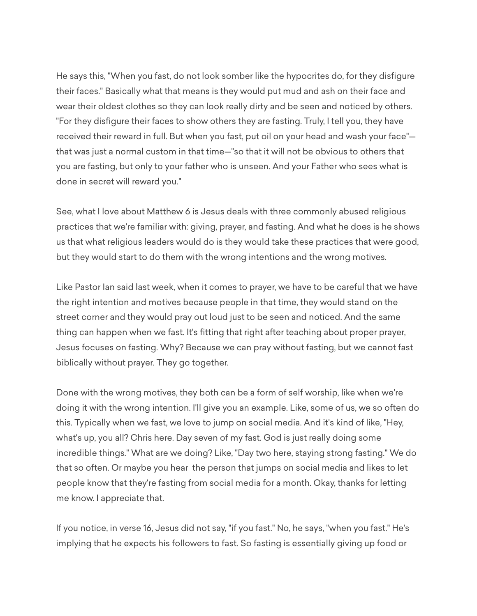He says this, "When you fast, do not look somber like the hypocrites do, for they disfigure their faces." Basically what that means is they would put mud and ash on their face and wear their oldest clothes so they can look really dirty and be seen and noticed by others. "For they disfigure their faces to show others they are fasting. Truly, I tell you, they have received their reward in full. But when you fast, put oil on your head and wash your face" that was just a normal custom in that time—"so that it will not be obvious to others that you are fasting, but only to your father who is unseen. And your Father who sees what is done in secret will reward you."

See, what I love about Matthew 6 is Jesus deals with three commonly abused religious practices that we're familiar with: giving, prayer, and fasting. And what he does is he shows us that what religious leaders would do is they would take these practices that were good, but they would start to do them with the wrong intentions and the wrong motives.

Like Pastor Ian said last week, when it comes to prayer, we have to be careful that we have the right intention and motives because people in that time, they would stand on the street corner and they would pray out loud just to be seen and noticed. And the same thing can happen when we fast. It's fitting that right after teaching about proper prayer, Jesus focuses on fasting. Why? Because we can pray without fasting, but we cannot fast biblically without prayer. They go together.

Done with the wrong motives, they both can be a form of self worship, like when we're doing it with the wrong intention. I'll give you an example. Like, some of us, we so often do this. Typically when we fast, we love to jump on social media. And it's kind of like, "Hey, what's up, you all? Chris here. Day seven of my fast. God is just really doing some incredible things." What are we doing? Like, "Day two here, staying strong fasting." We do that so often. Or maybe you hear the person that jumps on social media and likes to let people know that they're fasting from social media for a month. Okay, thanks for letting me know. I appreciate that.

If you notice, in verse 16, Jesus did not say, "if you fast." No, he says, "when you fast." He's implying that he expects his followers to fast. So fasting is essentially giving up food or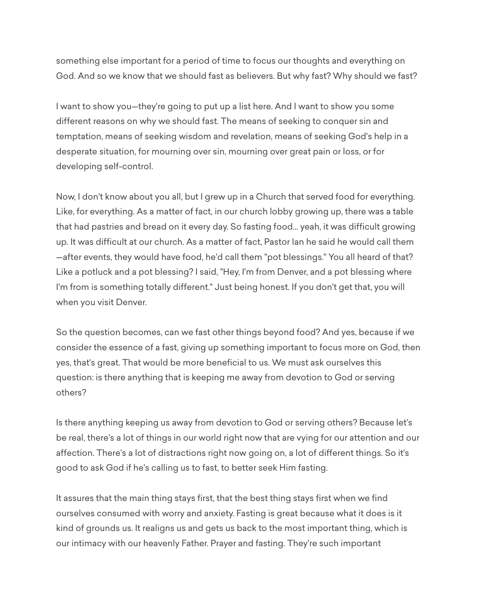something else important for a period of time to focus our thoughts and everything on God. And so we know that we should fast as believers. But why fast? Why should we fast?

I want to show you—they're going to put up a list here. And I want to show you some different reasons on why we should fast. The means of seeking to conquer sin and temptation, means of seeking wisdom and revelation, means of seeking God's help in a desperate situation, for mourning over sin, mourning over great pain or loss, or for developing self-control.

Now, I don't know about you all, but I grew up in a Church that served food for everything. Like, for everything. As a matter of fact, in our church lobby growing up, there was a table that had pastries and bread on it every day. So fasting food... yeah, it was difficult growing up. It was difficult at our church. As a matter of fact, Pastor Ian he said he would call them —after events, they would have food, he'd call them "pot blessings." You all heard of that? Like a potluck and a pot blessing? I said, "Hey, I'm from Denver, and a pot blessing where I'm from is something totally different." Just being honest. If you don't get that, you will when you visit Denver.

So the question becomes, can we fast other things beyond food? And yes, because if we consider the essence of a fast, giving up something important to focus more on God, then yes, that's great. That would be more beneficial to us. We must ask ourselves this question: is there anything that is keeping me away from devotion to God or serving others?

Is there anything keeping us away from devotion to God or serving others? Because let's be real, there's a lot of things in our world right now that are vying for our attention and our affection. There's a lot of distractions right now going on, a lot of different things. So it's good to ask God if he's calling us to fast, to better seek Him fasting.

It assures that the main thing stays first, that the best thing stays first when we find ourselves consumed with worry and anxiety. Fasting is great because what it does is it kind of grounds us. It realigns us and gets us back to the most important thing, which is our intimacy with our heavenly Father. Prayer and fasting. They're such important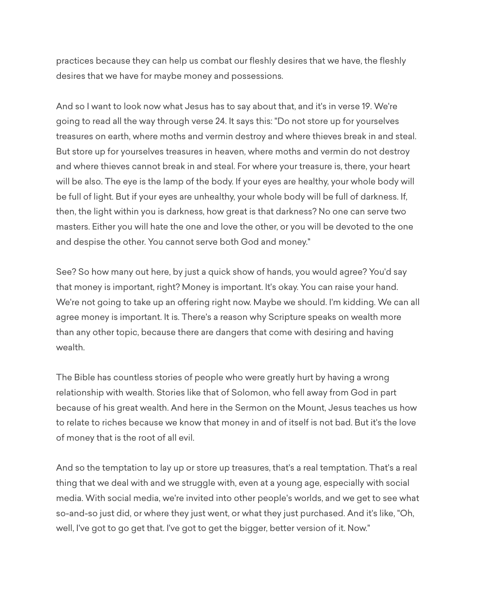practices because they can help us combat our fleshly desires that we have, the fleshly desires that we have for maybe money and possessions.

And so I want to look now what Jesus has to say about that, and it's in verse 19. We're going to read all the way through verse 24. It says this: "Do not store up for yourselves treasures on earth, where moths and vermin destroy and where thieves break in and steal. But store up for yourselves treasures in heaven, where moths and vermin do not destroy and where thieves cannot break in and steal. For where your treasure is, there, your heart will be also. The eye is the lamp of the body. If your eyes are healthy, your whole body will be full of light. But if your eyes are unhealthy, your whole body will be full of darkness. If, then, the light within you is darkness, how great is that darkness? No one can serve two masters. Either you will hate the one and love the other, or you will be devoted to the one and despise the other. You cannot serve both God and money."

See? So how many out here, by just a quick show of hands, you would agree? You'd say that money is important, right? Money is important. It's okay. You can raise your hand. We're not going to take up an offering right now. Maybe we should. I'm kidding. We can all agree money is important. It is. There's a reason why Scripture speaks on wealth more than any other topic, because there are dangers that come with desiring and having wealth.

The Bible has countless stories of people who were greatly hurt by having a wrong relationship with wealth. Stories like that of Solomon, who fell away from God in part because of his great wealth. And here in the Sermon on the Mount, Jesus teaches us how to relate to riches because we know that money in and of itself is not bad. But it's the love of money that is the root of all evil.

And so the temptation to lay up or store up treasures, that's a real temptation. That's a real thing that we deal with and we struggle with, even at a young age, especially with social media. With social media, we're invited into other people's worlds, and we get to see what so-and-so just did, or where they just went, or what they just purchased. And it's like, "Oh, well, I've got to go get that. I've got to get the bigger, better version of it. Now."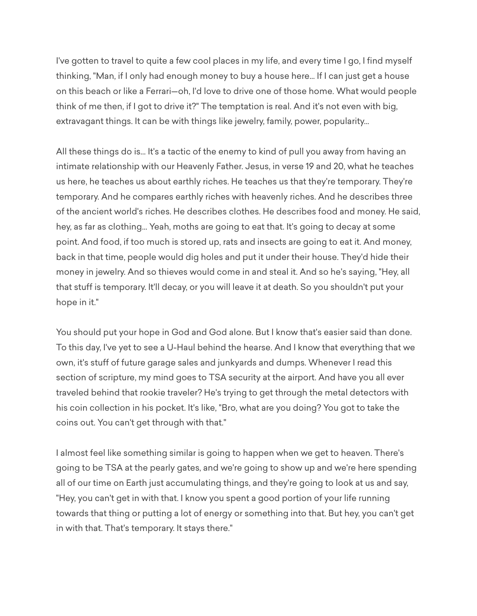I've gotten to travel to quite a few cool places in my life, and every time I go, I find myself thinking, "Man, if I only had enough money to buy a house here... If I can just get a house on this beach or like a Ferrari—oh, I'd love to drive one of those home. What would people think of me then, if I got to drive it?" The temptation is real. And it's not even with big, extravagant things. It can be with things like jewelry, family, power, popularity...

All these things do is... It's a tactic of the enemy to kind of pull you away from having an intimate relationship with our Heavenly Father. Jesus, in verse 19 and 20, what he teaches us here, he teaches us about earthly riches. He teaches us that they're temporary. They're temporary. And he compares earthly riches with heavenly riches. And he describes three of the ancient world's riches. He describes clothes. He describes food and money. He said, hey, as far as clothing... Yeah, moths are going to eat that. It's going to decay at some point. And food, if too much is stored up, rats and insects are going to eat it. And money, back in that time, people would dig holes and put it under their house. They'd hide their money in jewelry. And so thieves would come in and steal it. And so he's saying, "Hey, all that stuff is temporary. It'll decay, or you will leave it at death. So you shouldn't put your hope in it."

You should put your hope in God and God alone. But I know that's easier said than done. To this day, I've yet to see a U-Haul behind the hearse. And I know that everything that we own, it's stuff of future garage sales and junkyards and dumps. Whenever I read this section of scripture, my mind goes to TSA security at the airport. And have you all ever traveled behind that rookie traveler? He's trying to get through the metal detectors with his coin collection in his pocket. It's like, "Bro, what are you doing? You got to take the coins out. You can't get through with that."

I almost feel like something similar is going to happen when we get to heaven. There's going to be TSA at the pearly gates, and we're going to show up and we're here spending all of our time on Earth just accumulating things, and they're going to look at us and say, "Hey, you can't get in with that. I know you spent a good portion of your life running towards that thing or putting a lot of energy or something into that. But hey, you can't get in with that. That's temporary. It stays there."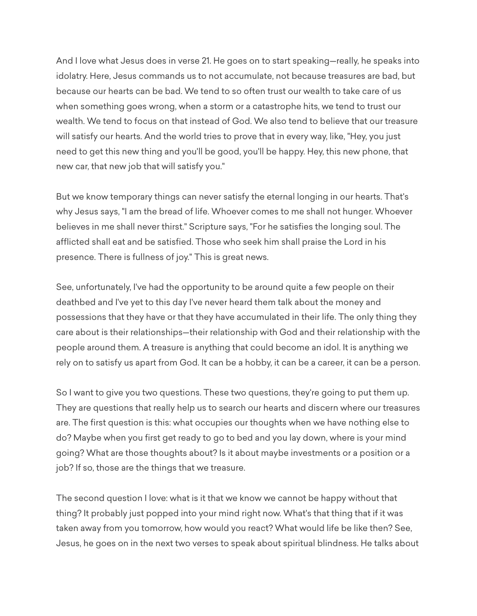And I love what Jesus does in verse 21. He goes on to start speaking—really, he speaks into idolatry. Here, Jesus commands us to not accumulate, not because treasures are bad, but because our hearts can be bad. We tend to so often trust our wealth to take care of us when something goes wrong, when a storm or a catastrophe hits, we tend to trust our wealth. We tend to focus on that instead of God. We also tend to believe that our treasure will satisfy our hearts. And the world tries to prove that in every way, like, "Hey, you just need to get this new thing and you'll be good, you'll be happy. Hey, this new phone, that new car, that new job that will satisfy you."

But we know temporary things can never satisfy the eternal longing in our hearts. That's why Jesus says, "I am the bread of life. Whoever comes to me shall not hunger. Whoever believes in me shall never thirst." Scripture says, "For he satisfies the longing soul. The afflicted shall eat and be satisfied. Those who seek him shall praise the Lord in his presence. There is fullness of joy." This is great news.

See, unfortunately, I've had the opportunity to be around quite a few people on their deathbed and I've yet to this day I've never heard them talk about the money and possessions that they have or that they have accumulated in their life. The only thing they care about is their relationships—their relationship with God and their relationship with the people around them. A treasure is anything that could become an idol. It is anything we rely on to satisfy us apart from God. It can be a hobby, it can be a career, it can be a person.

So I want to give you two questions. These two questions, they're going to put them up. They are questions that really help us to search our hearts and discern where our treasures are. The first question is this: what occupies our thoughts when we have nothing else to do? Maybe when you first get ready to go to bed and you lay down, where is your mind going? What are those thoughts about? Is it about maybe investments or a position or a job? If so, those are the things that we treasure.

The second question I love: what is it that we know we cannot be happy without that thing? It probably just popped into your mind right now. What's that thing that if it was taken away from you tomorrow, how would you react? What would life be like then? See, Jesus, he goes on in the next two verses to speak about spiritual blindness. He talks about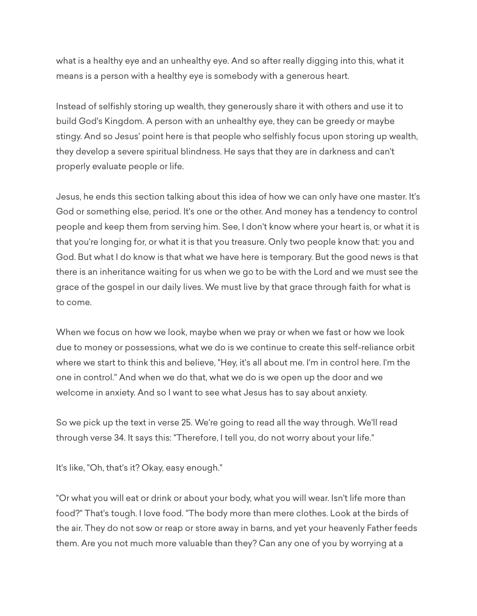what is a healthy eye and an unhealthy eye. And so after really digging into this, what it means is a person with a healthy eye is somebody with a generous heart.

Instead of selfishly storing up wealth, they generously share it with others and use it to build God's Kingdom. A person with an unhealthy eye, they can be greedy or maybe stingy. And so Jesus' point here is that people who selfishly focus upon storing up wealth, they develop a severe spiritual blindness. He says that they are in darkness and can't properly evaluate people or life.

Jesus, he ends this section talking about this idea of how we can only have one master. It's God or something else, period. It's one or the other. And money has a tendency to control people and keep them from serving him. See, I don't know where your heart is, or what it is that you're longing for, or what it is that you treasure. Only two people know that: you and God. But what I do know is that what we have here is temporary. But the good news is that there is an inheritance waiting for us when we go to be with the Lord and we must see the grace of the gospel in our daily lives. We must live by that grace through faith for what is to come.

When we focus on how we look, maybe when we pray or when we fast or how we look due to money or possessions, what we do is we continue to create this self-reliance orbit where we start to think this and believe, "Hey, it's all about me. I'm in control here. I'm the one in control." And when we do that, what we do is we open up the door and we welcome in anxiety. And so I want to see what Jesus has to say about anxiety.

So we pick up the text in verse 25. We're going to read all the way through. We'll read through verse 34. It says this: "Therefore, I tell you, do not worry about your life."

It's like, "Oh, that's it? Okay, easy enough."

"Or what you will eat or drink or about your body, what you will wear. Isn't life more than food?" That's tough. I love food. "The body more than mere clothes. Look at the birds of the air. They do not sow or reap or store away in barns, and yet your heavenly Father feeds them. Are you not much more valuable than they? Can any one of you by worrying at a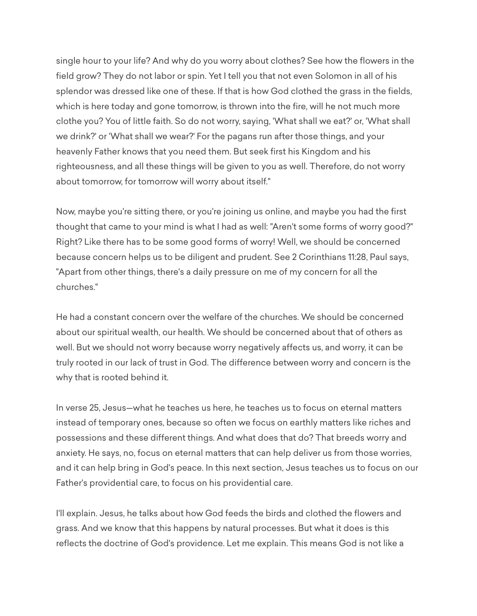single hour to your life? And why do you worry about clothes? See how the flowers in the field grow? They do not labor or spin. Yet I tell you that not even Solomon in all of his splendor was dressed like one of these. If that is how God clothed the grass in the fields, which is here today and gone tomorrow, is thrown into the fire, will he not much more clothe you? You of little faith. So do not worry, saying, 'What shall we eat?' or, 'What shall we drink?' or 'What shall we wear?' For the pagans run after those things, and your heavenly Father knows that you need them. But seek first his Kingdom and his righteousness, and all these things will be given to you as well. Therefore, do not worry about tomorrow, for tomorrow will worry about itself."

Now, maybe you're sitting there, or you're joining us online, and maybe you had the first thought that came to your mind is what I had as well: "Aren't some forms of worry good?" Right? Like there has to be some good forms of worry! Well, we should be concerned because concern helps us to be diligent and prudent. See 2 Corinthians 11:28, Paul says, "Apart from other things, there's a daily pressure on me of my concern for all the churches."

He had a constant concern over the welfare of the churches. We should be concerned about our spiritual wealth, our health. We should be concerned about that of others as well. But we should not worry because worry negatively affects us, and worry, it can be truly rooted in our lack of trust in God. The difference between worry and concern is the why that is rooted behind it.

In verse 25, Jesus—what he teaches us here, he teaches us to focus on eternal matters instead of temporary ones, because so often we focus on earthly matters like riches and possessions and these different things. And what does that do? That breeds worry and anxiety. He says, no, focus on eternal matters that can help deliver us from those worries, and it can help bring in God's peace. In this next section, Jesus teaches us to focus on our Father's providential care, to focus on his providential care.

I'll explain. Jesus, he talks about how God feeds the birds and clothed the flowers and grass. And we know that this happens by natural processes. But what it does is this reflects the doctrine of God's providence. Let me explain. This means God is not like a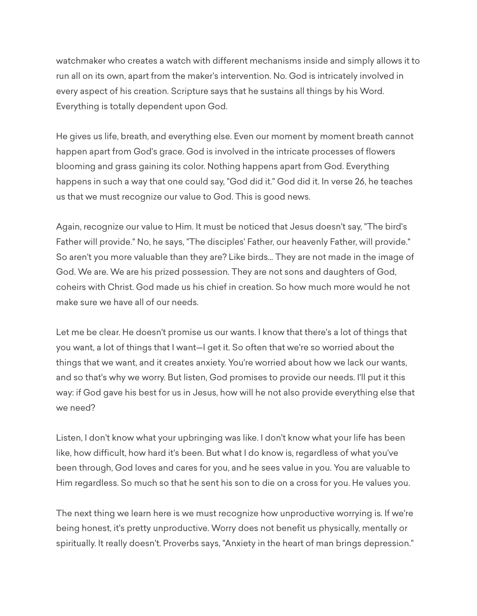watchmaker who creates a watch with different mechanisms inside and simply allows it to run all on its own, apart from the maker's intervention. No. God is intricately involved in every aspect of his creation. Scripture says that he sustains all things by his Word. Everything is totally dependent upon God.

He gives us life, breath, and everything else. Even our moment by moment breath cannot happen apart from God's grace. God is involved in the intricate processes of flowers blooming and grass gaining its color. Nothing happens apart from God. Everything happens in such a way that one could say, "God did it." God did it. In verse 26, he teaches us that we must recognize our value to God. This is good news.

Again, recognize our value to Him. It must be noticed that Jesus doesn't say, "The bird's Father will provide." No, he says, "The disciples' Father, our heavenly Father, will provide." So aren't you more valuable than they are? Like birds... They are not made in the image of God. We are. We are his prized possession. They are not sons and daughters of God, coheirs with Christ. God made us his chief in creation. So how much more would he not make sure we have all of our needs.

Let me be clear. He doesn't promise us our wants. I know that there's a lot of things that you want, a lot of things that I want—I get it. So often that we're so worried about the things that we want, and it creates anxiety. You're worried about how we lack our wants, and so that's why we worry. But listen, God promises to provide our needs. I'll put it this way: if God gave his best for us in Jesus, how will he not also provide everything else that we need?

Listen, I don't know what your upbringing was like. I don't know what your life has been like, how difficult, how hard it's been. But what I do know is, regardless of what you've been through, God loves and cares for you, and he sees value in you. You are valuable to Him regardless. So much so that he sent his son to die on a cross for you. He values you.

The next thing we learn here is we must recognize how unproductive worrying is. If we're being honest, it's pretty unproductive. Worry does not benefit us physically, mentally or spiritually. It really doesn't. Proverbs says, "Anxiety in the heart of man brings depression."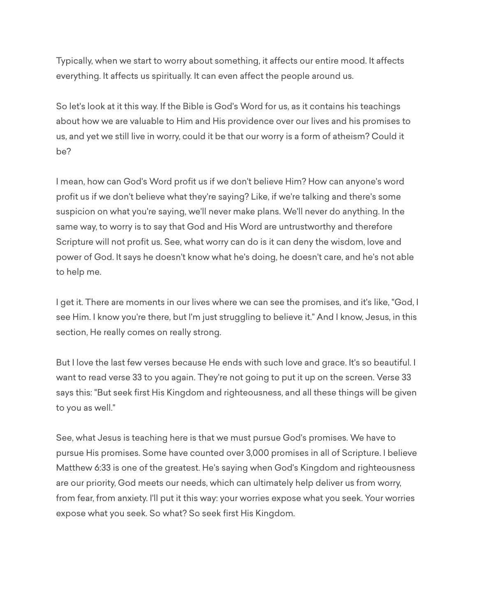Typically, when we start to worry about something, it affects our entire mood. It affects everything. It affects us spiritually. It can even affect the people around us.

So let's look at it this way. If the Bible is God's Word for us, as it contains his teachings about how we are valuable to Him and His providence over our lives and his promises to us, and yet we still live in worry, could it be that our worry is a form of atheism? Could it be?

I mean, how can God's Word profit us if we don't believe Him? How can anyone's word profit us if we don't believe what they're saying? Like, if we're talking and there's some suspicion on what you're saying, we'll never make plans. We'll never do anything. In the same way, to worry is to say that God and His Word are untrustworthy and therefore Scripture will not profit us. See, what worry can do is it can deny the wisdom, love and power of God. It says he doesn't know what he's doing, he doesn't care, and he's not able to help me.

I get it. There are moments in our lives where we can see the promises, and it's like, "God, I see Him. I know you're there, but I'm just struggling to believe it." And I know, Jesus, in this section, He really comes on really strong.

But I love the last few verses because He ends with such love and grace. It's so beautiful. I want to read verse 33 to you again. They're not going to put it up on the screen. Verse 33 says this: "But seek first His Kingdom and righteousness, and all these things will be given to you as well."

See, what Jesus is teaching here is that we must pursue God's promises. We have to pursue His promises. Some have counted over 3,000 promises in all of Scripture. I believe Matthew 6:33 is one of the greatest. He's saying when God's Kingdom and righteousness are our priority, God meets our needs, which can ultimately help deliver us from worry, from fear, from anxiety. I'll put it this way: your worries expose what you seek. Your worries expose what you seek. So what? So seek first His Kingdom.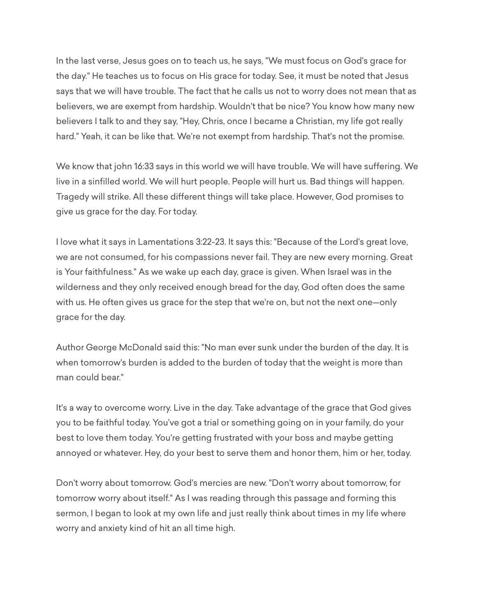In the last verse, Jesus goes on to teach us, he says, "We must focus on God's grace for the day." He teaches us to focus on His grace for today. See, it must be noted that Jesus says that we will have trouble. The fact that he calls us not to worry does not mean that as believers, we are exempt from hardship. Wouldn't that be nice? You know how many new believers I talk to and they say, "Hey, Chris, once I became a Christian, my life got really hard." Yeah, it can be like that. We're not exempt from hardship. That's not the promise.

We know that john 16:33 says in this world we will have trouble. We will have suffering. We live in a sinfilled world. We will hurt people. People will hurt us. Bad things will happen. Tragedy will strike. All these different things will take place. However, God promises to give us grace for the day. For today.

I love what it says in Lamentations 3:22-23. It says this: "Because of the Lord's great love, we are not consumed, for his compassions never fail. They are new every morning. Great is Your faithfulness." As we wake up each day, grace is given. When Israel was in the wilderness and they only received enough bread for the day, God often does the same with us. He often gives us grace for the step that we're on, but not the next one—only grace for the day.

Author George McDonald said this: "No man ever sunk under the burden of the day. It is when tomorrow's burden is added to the burden of today that the weight is more than man could bear."

It's a way to overcome worry. Live in the day. Take advantage of the grace that God gives you to be faithful today. You've got a trial or something going on in your family, do your best to love them today. You're getting frustrated with your boss and maybe getting annoyed or whatever. Hey, do your best to serve them and honor them, him or her, today.

Don't worry about tomorrow. God's mercies are new. "Don't worry about tomorrow, for tomorrow worry about itself." As I was reading through this passage and forming this sermon, I began to look at my own life and just really think about times in my life where worry and anxiety kind of hit an all time high.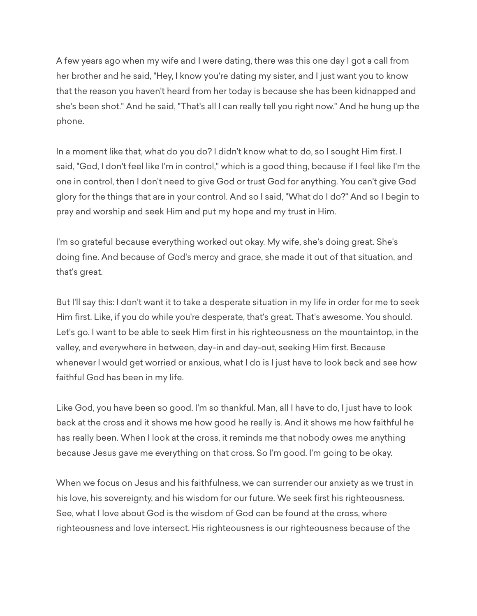A few years ago when my wife and I were dating, there was this one day I got a call from her brother and he said, "Hey, I know you're dating my sister, and I just want you to know that the reason you haven't heard from her today is because she has been kidnapped and she's been shot." And he said, "That's all I can really tell you right now." And he hung up the phone.

In a moment like that, what do you do? I didn't know what to do, so I sought Him first. I said, "God, I don't feel like I'm in control," which is a good thing, because if I feel like I'm the one in control, then I don't need to give God or trust God for anything. You can't give God glory for the things that are in your control. And so I said, "What do I do?" And so I begin to pray and worship and seek Him and put my hope and my trust in Him.

I'm so grateful because everything worked out okay. My wife, she's doing great. She's doing fine. And because of God's mercy and grace, she made it out of that situation, and that's great.

But I'll say this: I don't want it to take a desperate situation in my life in order for me to seek Him first. Like, if you do while you're desperate, that's great. That's awesome. You should. Let's go. I want to be able to seek Him first in his righteousness on the mountaintop, in the valley, and everywhere in between, day-in and day-out, seeking Him first. Because whenever I would get worried or anxious, what I do is I just have to look back and see how faithful God has been in my life.

Like God, you have been so good. I'm so thankful. Man, all I have to do, I just have to look back at the cross and it shows me how good he really is. And it shows me how faithful he has really been. When I look at the cross, it reminds me that nobody owes me anything because Jesus gave me everything on that cross. So I'm good. I'm going to be okay.

When we focus on Jesus and his faithfulness, we can surrender our anxiety as we trust in his love, his sovereignty, and his wisdom for our future. We seek first his righteousness. See, what I love about God is the wisdom of God can be found at the cross, where righteousness and love intersect. His righteousness is our righteousness because of the